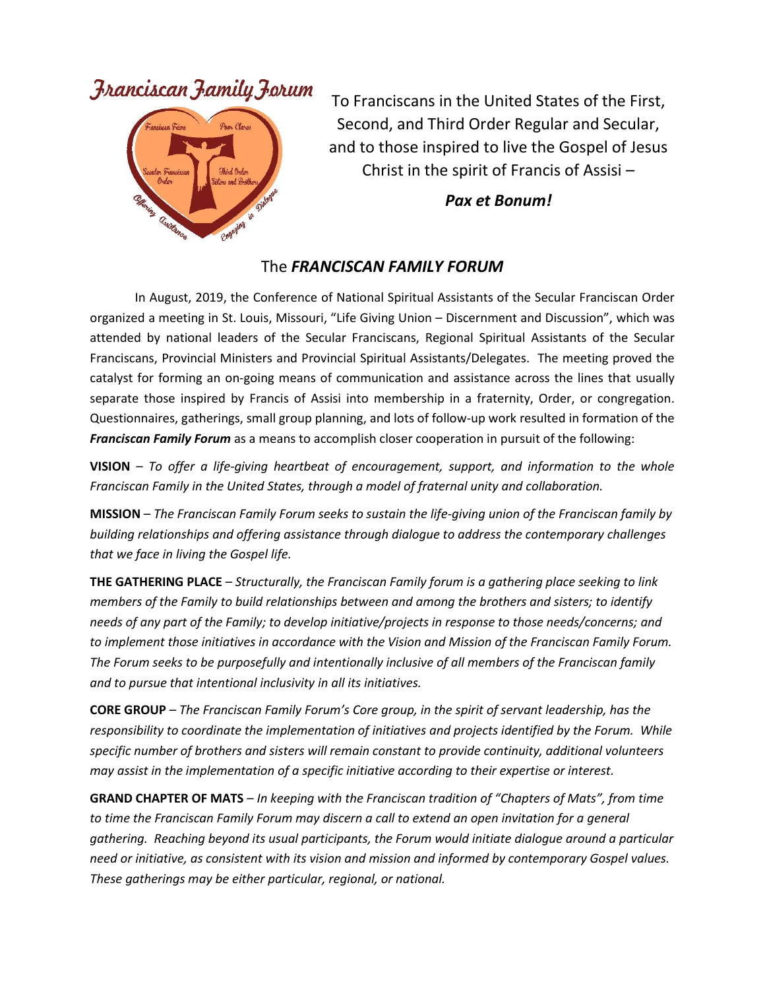## Franciscan Family Forum



To Franciscans in the United States of the First, Second, and Third Order Regular and Secular, and to those inspired to live the Gospel of Jesus Christ in the spirit of Francis of Assisi –

*Pax et Bonum!*

## The *FRANCISCAN FAMILY FORUM*

In August, 2019, the Conference of National Spiritual Assistants of the Secular Franciscan Order organized a meeting in St. Louis, Missouri, "Life Giving Union – Discernment and Discussion", which was attended by national leaders of the Secular Franciscans, Regional Spiritual Assistants of the Secular Franciscans, Provincial Ministers and Provincial Spiritual Assistants/Delegates. The meeting proved the catalyst for forming an on-going means of communication and assistance across the lines that usually separate those inspired by Francis of Assisi into membership in a fraternity, Order, or congregation. Questionnaires, gatherings, small group planning, and lots of follow-up work resulted in formation of the *Franciscan Family Forum* as a means to accomplish closer cooperation in pursuit of the following:

**VISION** – *To offer a life-giving heartbeat of encouragement, support, and information to the whole Franciscan Family in the United States, through a model of fraternal unity and collaboration.*

**MISSION** – *The Franciscan Family Forum seeks to sustain the life-giving union of the Franciscan family by building relationships and offering assistance through dialogue to address the contemporary challenges that we face in living the Gospel life.*

**THE GATHERING PLACE** – *Structurally, the Franciscan Family forum is a gathering place seeking to link members of the Family to build relationships between and among the brothers and sisters; to identify needs of any part of the Family; to develop initiative/projects in response to those needs/concerns; and to implement those initiatives in accordance with the Vision and Mission of the Franciscan Family Forum. The Forum seeks to be purposefully and intentionally inclusive of all members of the Franciscan family and to pursue that intentional inclusivity in all its initiatives.*

**CORE GROUP** – *The Franciscan Family Forum's Core group, in the spirit of servant leadership, has the responsibility to coordinate the implementation of initiatives and projects identified by the Forum. While specific number of brothers and sisters will remain constant to provide continuity, additional volunteers may assist in the implementation of a specific initiative according to their expertise or interest.*

**GRAND CHAPTER OF MATS** – *In keeping with the Franciscan tradition of "Chapters of Mats", from time to time the Franciscan Family Forum may discern a call to extend an open invitation for a general gathering. Reaching beyond its usual participants, the Forum would initiate dialogue around a particular need or initiative, as consistent with its vision and mission and informed by contemporary Gospel values. These gatherings may be either particular, regional, or national.*